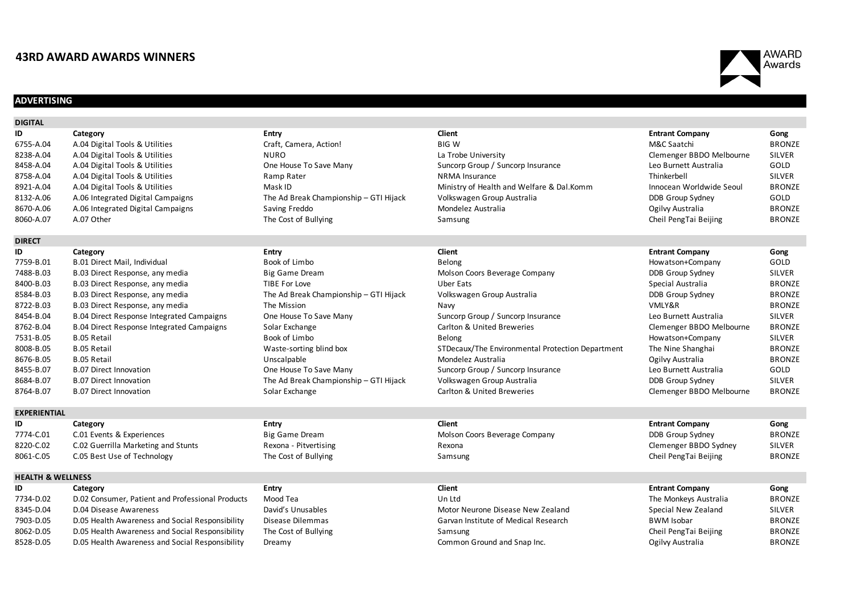# **43RD AWARD AWARDS WINNERS**

# **ADVERTISING**

| <b>DIGITAL</b>               |                                                  |                                        |                                                  |                          |               |
|------------------------------|--------------------------------------------------|----------------------------------------|--------------------------------------------------|--------------------------|---------------|
| ID                           | Category                                         | <b>Entry</b>                           | <b>Client</b>                                    | <b>Entrant Company</b>   | Gong          |
| 6755-A.04                    | A.04 Digital Tools & Utilities                   | Craft, Camera, Action!                 | <b>BIGW</b>                                      | M&C Saatchi              | <b>BRONZE</b> |
| 8238-A.04                    | A.04 Digital Tools & Utilities                   | <b>NURO</b>                            | La Trobe University                              | Clemenger BBDO Melbourne | <b>SILVER</b> |
| 8458-A.04                    | A.04 Digital Tools & Utilities                   | One House To Save Many                 | Suncorp Group / Suncorp Insurance                | Leo Burnett Australia    | GOLD          |
| 8758-A.04                    | A.04 Digital Tools & Utilities                   | Ramp Rater                             | <b>NRMA</b> Insurance                            | Thinkerbell              | <b>SILVER</b> |
| 8921-A.04                    | A.04 Digital Tools & Utilities                   | Mask ID                                | Ministry of Health and Welfare & Dal.Komm        | Innocean Worldwide Seoul | <b>BRONZE</b> |
| 8132-A.06                    | A.06 Integrated Digital Campaigns                | The Ad Break Championship - GTI Hijack | Volkswagen Group Australia                       | DDB Group Sydney         | GOLD          |
| 8670-A.06                    | A.06 Integrated Digital Campaigns                | Saving Freddo                          | Mondelez Australia                               | Ogilvy Australia         | <b>BRONZE</b> |
| 8060-A.07                    | A.07 Other                                       | The Cost of Bullying                   | Samsung                                          | Cheil PengTai Beijing    | <b>BRONZE</b> |
| <b>DIRECT</b>                |                                                  |                                        |                                                  |                          |               |
| ID                           | Category                                         | <b>Entry</b>                           | <b>Client</b>                                    | <b>Entrant Company</b>   | Gong          |
| 7759-B.01                    | <b>B.01 Direct Mail, Individual</b>              | Book of Limbo                          | Belong                                           | Howatson+Company         | GOLD          |
| 7488-B.03                    | B.03 Direct Response, any media                  | Big Game Dream                         | Molson Coors Beverage Company                    | DDB Group Sydney         | <b>SILVER</b> |
| 8400-B.03                    | B.03 Direct Response, any media                  | TIBE For Love                          | <b>Uber Eats</b>                                 | Special Australia        | <b>BRONZE</b> |
| 8584-B.03                    | B.03 Direct Response, any media                  | The Ad Break Championship - GTI Hijack | Volkswagen Group Australia                       | DDB Group Sydney         | <b>BRONZE</b> |
| 8722-B.03                    | B.03 Direct Response, any media                  | The Mission                            | Navy                                             | VMLY&R                   | <b>BRONZE</b> |
| 8454-B.04                    | <b>B.04 Direct Response Integrated Campaigns</b> | One House To Save Many                 | Suncorp Group / Suncorp Insurance                | Leo Burnett Australia    | <b>SILVER</b> |
| 8762-B.04                    | <b>B.04 Direct Response Integrated Campaigns</b> | Solar Exchange                         | Carlton & United Breweries                       | Clemenger BBDO Melbourne | <b>BRONZE</b> |
| 7531-B.05                    | <b>B.05 Retail</b>                               | Book of Limbo                          | Belong                                           | Howatson+Company         | <b>SILVER</b> |
| 8008-B.05                    | <b>B.05 Retail</b>                               | Waste-sorting blind box                | STDecaux/The Environmental Protection Department | The Nine Shanghai        | <b>BRONZE</b> |
| 8676-B.05                    | <b>B.05 Retail</b>                               | Unscalpable                            | Mondelez Australia                               | Ogilvy Australia         | <b>BRONZE</b> |
| 8455-B.07                    | <b>B.07 Direct Innovation</b>                    | One House To Save Many                 | Suncorp Group / Suncorp Insurance                | Leo Burnett Australia    | GOLD          |
| 8684-B.07                    | <b>B.07 Direct Innovation</b>                    | The Ad Break Championship - GTI Hijack | Volkswagen Group Australia                       | DDB Group Sydney         | <b>SILVER</b> |
| 8764-B.07                    | <b>B.07 Direct Innovation</b>                    | Solar Exchange                         | Carlton & United Breweries                       | Clemenger BBDO Melbourne | <b>BRONZE</b> |
| <b>EXPERIENTIAL</b>          |                                                  |                                        |                                                  |                          |               |
| ID                           | Category                                         | <b>Entry</b>                           | <b>Client</b>                                    | <b>Entrant Company</b>   | Gong          |
| 7774-C.01                    | C.01 Events & Experiences                        | <b>Big Game Dream</b>                  | Molson Coors Beverage Company                    | DDB Group Sydney         | <b>BRONZE</b> |
| 8220-C.02                    | C.02 Guerrilla Marketing and Stunts              | Rexona - Pitvertising                  | Rexona                                           | Clemenger BBDO Sydney    | <b>SILVER</b> |
| 8061-C.05                    | C.05 Best Use of Technology                      | The Cost of Bullying                   | Samsung                                          | Cheil PengTai Beijing    | <b>BRONZE</b> |
| <b>HEALTH &amp; WELLNESS</b> |                                                  |                                        |                                                  |                          |               |
| ID                           | Category                                         | <b>Entry</b>                           | <b>Client</b>                                    | <b>Entrant Company</b>   | Gong          |
| 7734-D.02                    | D.02 Consumer, Patient and Professional Products | Mood Tea                               | Un Ltd                                           | The Monkeys Australia    | <b>BRONZE</b> |
| 8345-D.04                    | D.04 Disease Awareness                           | David's Unusables                      | Motor Neurone Disease New Zealand                | Special New Zealand      | <b>SILVER</b> |
| 7903-D.05                    | D.05 Health Awareness and Social Responsibility  | Disease Dilemmas                       | Garvan Institute of Medical Research             | <b>BWM Isobar</b>        | <b>BRONZE</b> |
| 8062-D.05                    | D.05 Health Awareness and Social Responsibility  | The Cost of Bullying                   | Samsung                                          | Cheil PengTai Beijing    | <b>BRONZE</b> |
| 8528-D.05                    | D.05 Health Awareness and Social Responsibility  | Dreamy                                 | Common Ground and Snap Inc.                      | Ogilvy Australia         | <b>BRONZE</b> |
|                              |                                                  |                                        |                                                  |                          |               |



| Howatson+Company         |
|--------------------------|
| DDB Group Sydney         |
| Special Australia        |
| DDB Group Sydney         |
| <b>VMLY&amp;R</b>        |
| Leo Burnett Australia    |
| Clemenger BBDO Melbourne |
| Howatson+Company         |
| The Nine Shanghai        |
| Ogilvy Australia         |
| Leo Burnett Australia    |
| DDB Group Sydney         |
| Clemenger BBDO Melbourne |
|                          |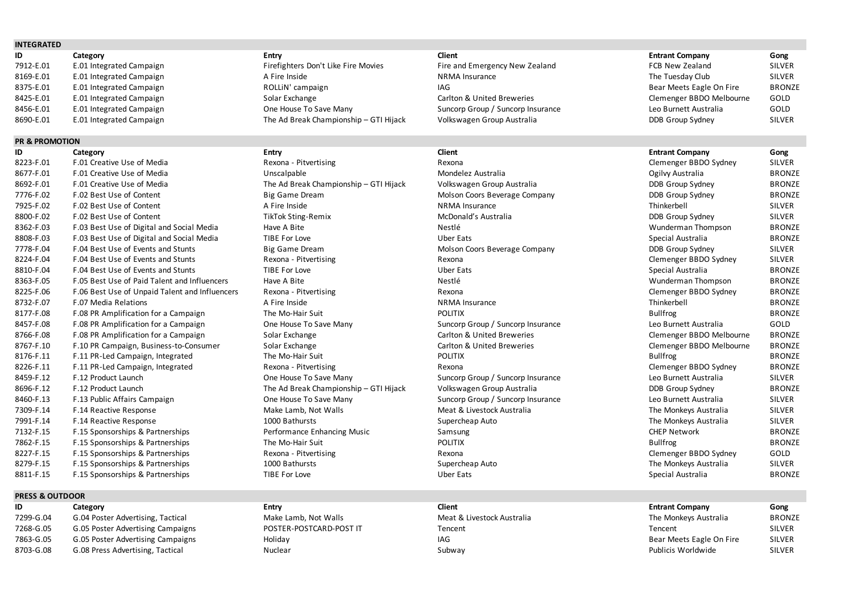# **INTEGRATED**

| ID        | Category                 | Entry                                  | <b>Client</b>                     | <b>Entrant Company</b>   | Gong          |
|-----------|--------------------------|----------------------------------------|-----------------------------------|--------------------------|---------------|
| 7912-E.01 | E.01 Integrated Campaign | Firefighters Don't Like Fire Movies    | Fire and Emergency New Zealand    | FCB New Zealand          | SILVER        |
| 8169-E.01 | E.01 Integrated Campaign | A Fire Inside                          | NRMA Insurance                    | The Tuesday Club         | <b>SILVER</b> |
| 8375-E.01 | E.01 Integrated Campaign | ROLLIN' campaign                       |                                   | Bear Meets Eagle On Fire | <b>BRONZE</b> |
| 8425-E.01 | E.01 Integrated Campaign | Solar Exchange                         | Carlton & United Breweries        | Clemenger BBDO Melbourne | GOLD          |
| 8456-E.01 | E.01 Integrated Campaign | One House To Save Many                 | Suncorp Group / Suncorp Insurance | Leo Burnett Australia    | GOLD          |
| 8690-E.01 | E.01 Integrated Campaign | The Ad Break Championship - GTI Hijack | Volkswagen Group Australia        | DDB Group Sydney         | <b>SILVER</b> |

# **PR & PROMOTION**

| ID        | Category                                       | <b>Entry</b>                           | <b>Client</b>                     | <b>Entrant Company</b>   | Gong          |
|-----------|------------------------------------------------|----------------------------------------|-----------------------------------|--------------------------|---------------|
| 8223-F.01 | F.01 Creative Use of Media                     | Rexona - Pitvertising                  | Rexona                            | Clemenger BBDO Sydney    | <b>SILVER</b> |
| 8677-F.01 | F.01 Creative Use of Media                     | Unscalpable                            | Mondelez Australia                | Ogilvy Australia         | <b>BRONZE</b> |
| 8692-F.01 | F.01 Creative Use of Media                     | The Ad Break Championship - GTI Hijack | Volkswagen Group Australia        | DDB Group Sydney         | <b>BRONZE</b> |
| 7776-F.02 | F.02 Best Use of Content                       | <b>Big Game Dream</b>                  | Molson Coors Beverage Company     | DDB Group Sydney         | <b>BRONZE</b> |
| 7925-F.02 | F.02 Best Use of Content                       | A Fire Inside                          | <b>NRMA Insurance</b>             | Thinkerbell              | <b>SILVER</b> |
| 8800-F.02 | F.02 Best Use of Content                       | <b>TikTok Sting-Remix</b>              | McDonald's Australia              | DDB Group Sydney         | <b>SILVER</b> |
| 8362-F.03 | F.03 Best Use of Digital and Social Media      | Have A Bite                            | Nestlé                            | Wunderman Thompson       | <b>BRONZE</b> |
| 8808-F.03 | F.03 Best Use of Digital and Social Media      | TIBE For Love                          | <b>Uber Eats</b>                  | Special Australia        | <b>BRONZE</b> |
| 7778-F.04 | F.04 Best Use of Events and Stunts             | <b>Big Game Dream</b>                  | Molson Coors Beverage Company     | DDB Group Sydney         | <b>SILVER</b> |
| 8224-F.04 | F.04 Best Use of Events and Stunts             | Rexona - Pitvertising                  | Rexona                            | Clemenger BBDO Sydney    | <b>SILVER</b> |
| 8810-F.04 | F.04 Best Use of Events and Stunts             | TIBE For Love                          | <b>Uber Eats</b>                  | Special Australia        | <b>BRONZE</b> |
| 8363-F.05 | F.05 Best Use of Paid Talent and Influencers   | Have A Bite                            | Nestlé                            | Wunderman Thompson       | <b>BRONZE</b> |
| 8225-F.06 | F.06 Best Use of Unpaid Talent and Influencers | Rexona - Pitvertising                  | Rexona                            | Clemenger BBDO Sydney    | <b>BRONZE</b> |
| 8732-F.07 | F.07 Media Relations                           | A Fire Inside                          | <b>NRMA</b> Insurance             | Thinkerbell              | <b>BRONZE</b> |
| 8177-F.08 | F.08 PR Amplification for a Campaign           | The Mo-Hair Suit                       | <b>POLITIX</b>                    | <b>Bullfrog</b>          | <b>BRONZE</b> |
| 8457-F.08 | F.08 PR Amplification for a Campaign           | One House To Save Many                 | Suncorp Group / Suncorp Insurance | Leo Burnett Australia    | GOLD          |
| 8766-F.08 | F.08 PR Amplification for a Campaign           | Solar Exchange                         | Carlton & United Breweries        | Clemenger BBDO Melbourne | <b>BRONZE</b> |
| 8767-F.10 | F.10 PR Campaign, Business-to-Consumer         | Solar Exchange                         | Carlton & United Breweries        | Clemenger BBDO Melbourne | <b>BRONZE</b> |
| 8176-F.11 | F.11 PR-Led Campaign, Integrated               | The Mo-Hair Suit                       | <b>POLITIX</b>                    | <b>Bullfrog</b>          | <b>BRONZE</b> |
| 8226-F.11 | F.11 PR-Led Campaign, Integrated               | Rexona - Pitvertising                  | Rexona                            | Clemenger BBDO Sydney    | <b>BRONZE</b> |
| 8459-F.12 | F.12 Product Launch                            | One House To Save Many                 | Suncorp Group / Suncorp Insurance | Leo Burnett Australia    | <b>SILVER</b> |
| 8696-F.12 | F.12 Product Launch                            | The Ad Break Championship - GTI Hijack | Volkswagen Group Australia        | DDB Group Sydney         | <b>BRONZE</b> |
| 8460-F.13 | F.13 Public Affairs Campaign                   | One House To Save Many                 | Suncorp Group / Suncorp Insurance | Leo Burnett Australia    | <b>SILVER</b> |
| 7309-F.14 | F.14 Reactive Response                         | Make Lamb, Not Walls                   | Meat & Livestock Australia        | The Monkeys Australia    | <b>SILVER</b> |
| 7991-F.14 | F.14 Reactive Response                         | 1000 Bathursts                         | Supercheap Auto                   | The Monkeys Australia    | <b>SILVER</b> |
| 7132-F.15 | F.15 Sponsorships & Partnerships               | Performance Enhancing Music            | Samsung                           | <b>CHEP Network</b>      | <b>BRONZE</b> |
| 7862-F.15 | F.15 Sponsorships & Partnerships               | The Mo-Hair Suit                       | <b>POLITIX</b>                    | <b>Bullfrog</b>          | <b>BRONZE</b> |
| 8227-F.15 | F.15 Sponsorships & Partnerships               | Rexona - Pitvertising                  | Rexona                            | Clemenger BBDO Sydney    | GOLD          |
| 8279-F.15 | F.15 Sponsorships & Partnerships               | 1000 Bathursts                         | Supercheap Auto                   | The Monkeys Australia    | <b>SILVER</b> |
| 0011 E 1E | E 1E Coopcorching P. Dartnorching              | TIDE For Loug                          | $I$ lhor $E$ otc                  | Concial Auctralia        | DDOMZE        |

# **PRESS & OUTDOOR**

|           | Category                          | Entry                   | <b>Client</b>              | <b>Entrant Company</b>   | Gong          |
|-----------|-----------------------------------|-------------------------|----------------------------|--------------------------|---------------|
| 7299-G.04 | G.04 Poster Advertising, Tactical | Make Lamb, Not Walls    | Meat & Livestock Australia | The Monkeys Australia    | <b>BRONZE</b> |
| 7268-G.05 | G.05 Poster Advertising Campaigns | POSTER-POSTCARD-POST IT | Tencent                    | Tencent                  | <b>SILVER</b> |
| 7863-G.05 | G.05 Poster Advertising Campaigns | Holiday                 | IAG                        | Bear Meets Eagle On Fire | <b>SILVER</b> |
| 8703-G.08 | G.08 Press Advertising, Tactical  | Nuclear                 | Subway                     | Publicis Worldwide       | <b>SILVER</b> |

| <b>Entrant Company</b>   |
|--------------------------|
| <b>FCB New Zealand</b>   |
| The Tuesday Club         |
| Bear Meets Eagle On Fire |

# The Ad Break Championship – GTI Hijack Volkswagen Group Australia Championship – GTI Hijack Volkswagen Group Australia Partias Terram 2012 F.02 F.02 F.02 Molson Coors Beverage Company Company BRONZE The Text Use of Events And Studies and Studies and Studies and Studies and Studies and Studies and Studies and Studies SILVER SILVER Rexona - Pitvertising The Sill VER Best Use of Events Access Access 2012 The Sill Studies and Studies and Stunts Rexona Clemenger BBDO Sydney SILVER Example 8225-F.06 F.06 Best Use of Unpaid Talent and Influencers Rexona - Pitter and Influencers Rexona - Pitvertising BRONZE 8457-F.08 One House To Save Many To Suncorp Group / Suncorp Insurance To Many Suncorp Insurance Leo Burnett Australia GOLD Solar Exchange **Subseter Carlton & United Breweries** Carlton Solar Exchanger BBDO Melbourne BRONZE Solar Exchange **Superints and Solar Exchange** Carlton & United Breweries Clemenger BBDO Melbourne BRONZE Rexona - Pitvertising **Rexona - Pitvertising** Rexona - Rexona - Pitvertising BRONZE One House To Save Many **Suncorp Group / Suncorp Insurance** Leo Burnett Australia SILVER The Ad Break Championship – GTI Hijack Volkswagen Group Australia New Yorkswagen Group Australia DDB Group Sydney One House To Save Many **Suncorp Group / Suncorp Insurance** Leo Burnett Australia SILVER Make Lamb, Not Walls **Neactive Australia** Meat & Livestock Australia The Monkeys Australia SILVER Performance Enhancing Music **F.15 Sponsorships A.15 Sponsorships Performance Enhancing Music Samsung CHEP Network**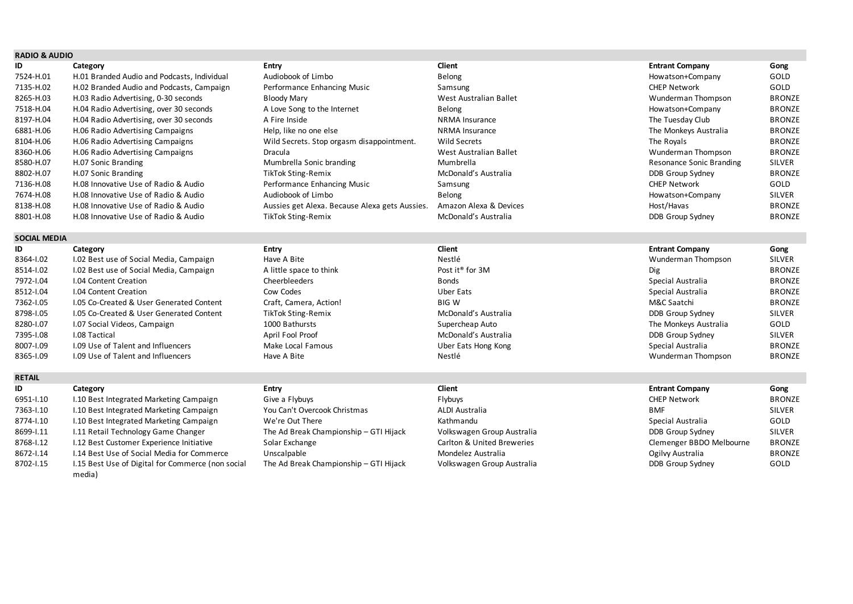# **RADIO & AUDIO**

| ID        | Category                                    | Entry                                          | Client                 | <b>Entrant Company</b>   | Gong          |
|-----------|---------------------------------------------|------------------------------------------------|------------------------|--------------------------|---------------|
| 7524-H.01 | H.01 Branded Audio and Podcasts, Individual | Audiobook of Limbo                             | Belong                 | Howatson+Company         | GOLD          |
| 7135-H.02 | H.02 Branded Audio and Podcasts, Campaign   | Performance Enhancing Music                    | Samsung                | <b>CHEP Network</b>      | GOLD          |
| 8265-H.03 | H.03 Radio Advertising, 0-30 seconds        | <b>Bloody Mary</b>                             | West Australian Ballet | Wunderman Thompson       | <b>BRONZE</b> |
| 7518-H.04 | H.04 Radio Advertising, over 30 seconds     | A Love Song to the Internet                    | Belong                 | Howatson+Company         | <b>BRONZE</b> |
| 8197-H.04 | H.04 Radio Advertising, over 30 seconds     | A Fire Inside                                  | <b>NRMA</b> Insurance  | The Tuesday Club         | <b>BRONZE</b> |
| 6881-H.06 | H.06 Radio Advertising Campaigns            | Help, like no one else                         | <b>NRMA</b> Insurance  | The Monkeys Australia    | <b>BRONZE</b> |
| 8104-H.06 | H.06 Radio Advertising Campaigns            | Wild Secrets. Stop orgasm disappointment.      | Wild Secrets           | The Royals               | <b>BRONZE</b> |
| 8360-H.06 | H.06 Radio Advertising Campaigns            | Dracula                                        | West Australian Ballet | Wunderman Thompson       | <b>BRONZE</b> |
| 8580-H.07 | H.07 Sonic Branding                         | Mumbrella Sonic branding                       | Mumbrella              | Resonance Sonic Branding | SILVER        |
| 8802-H.07 | H.07 Sonic Branding                         | TikTok Sting-Remix                             | McDonald's Australia   | DDB Group Sydney         | <b>BRONZE</b> |
| 7136-H.08 | H.08 Innovative Use of Radio & Audio        | Performance Enhancing Music                    | Samsung                | <b>CHEP Network</b>      | GOLD          |
| 7674-H.08 | H.08 Innovative Use of Radio & Audio        | Audiobook of Limbo                             | Belong                 | Howatson+Company         | <b>SILVER</b> |
| 8138-H.08 | H.08 Innovative Use of Radio & Audio        | Aussies get Alexa. Because Alexa gets Aussies. | Amazon Alexa & Devices | Host/Havas               | <b>BRONZE</b> |
| 8801-H.08 | H.08 Innovative Use of Radio & Audio        | <b>TikTok Sting-Remix</b>                      | McDonald's Australia   | DDB Group Sydney         | <b>BRONZE</b> |

# **SOCIAL MEDIA**

| ID        | Category                                 | Entry                     | Client                      | <b>Entrant Company</b> | Gong          |
|-----------|------------------------------------------|---------------------------|-----------------------------|------------------------|---------------|
| 8364-1.02 | I.02 Best use of Social Media, Campaign  | Have A Bite               | Nestlé                      | Wunderman Thompson     | <b>SILVER</b> |
| 8514-1.02 | I.02 Best use of Social Media, Campaign  | A little space to think   | Post it <sup>®</sup> for 3M | Dig                    | <b>BRONZE</b> |
| 7972-1.04 | <b>I.04 Content Creation</b>             | <b>Cheerbleeders</b>      | <b>Bonds</b>                | Special Australia      | <b>BRONZE</b> |
| 8512-1.04 | <b>I.04 Content Creation</b>             | Cow Codes                 | Uber Eats                   | Special Australia      | <b>BRONZE</b> |
| 7362-1.05 | I.05 Co-Created & User Generated Content | Craft, Camera, Action!    | <b>BIG W</b>                | M&C Saatchi            | <b>BRONZE</b> |
| 8798-1.05 | 1.05 Co-Created & User Generated Content | <b>TikTok Sting-Remix</b> | McDonald's Australia        | DDB Group Sydney       | <b>SILVER</b> |
| 8280-1.07 | I.07 Social Videos, Campaign             | 1000 Bathursts            | Supercheap Auto             | The Monkeys Australia  | <b>GOLD</b>   |
| 7395-1.08 | <b>I.08 Tactical</b>                     | April Fool Proof          | McDonald's Australia        | DDB Group Sydney       | <b>SILVER</b> |
| 8007-1.09 | 1.09 Use of Talent and Influencers       | Make Local Famous         | Uber Eats Hong Kong         | Special Australia      | <b>BRONZE</b> |
| 8365-1.09 | I.09 Use of Talent and Influencers       | Have A Bite               | Nestlé                      | Wunderman Thompson     | <b>BRONZE</b> |
|           |                                          |                           |                             |                        |               |

# **RETAIL**

| ID        | Category                                          | Entry                                  | Client                     | <b>Entrant Company</b>   | Gong          |
|-----------|---------------------------------------------------|----------------------------------------|----------------------------|--------------------------|---------------|
| 6951-1.10 | I.10 Best Integrated Marketing Campaign           | Give a Flybuys                         | Flybuys                    | <b>CHEP Network</b>      | <b>BRONZE</b> |
| 7363-1.10 | I.10 Best Integrated Marketing Campaign           | You Can't Overcook Christmas           | ALDI Australia             | <b>BMF</b>               | <b>SILVER</b> |
| 8774-1.10 | I.10 Best Integrated Marketing Campaign           | We're Out There                        | Kathmandu                  | Special Australia        | GOLD          |
| 8699-1.11 | I.11 Retail Technology Game Changer               | The Ad Break Championship - GTI Hijack | Volkswagen Group Australia | DDB Group Sydney         | SILVER        |
| 8768-1.12 | I.12 Best Customer Experience Initiative          | Solar Exchange                         | Carlton & United Breweries | Clemenger BBDO Melbourne | <b>BRONZE</b> |
| 8672-1.14 | I.14 Best Use of Social Media for Commerce        | Unscalpable                            | Mondelez Australia         | Ogilvy Australia         | <b>BRONZE</b> |
| 8702-1.15 | 1.15 Best Use of Digital for Commerce (non social | The Ad Break Championship - GTI Hijack | Volkswagen Group Australia | DDB Group Sydney         | GOLD          |
|           | media)                                            |                                        |                            |                          |               |

| Audiobook of Limbo                            |
|-----------------------------------------------|
| Performance Enhancing Music                   |
| <b>Bloody Mary</b>                            |
| A Love Song to the Internet                   |
| A Fire Inside                                 |
| Help, like no one else                        |
| Wild Secrets. Stop orgasm disappointment.     |
| Dracula                                       |
| Mumbrella Sonic branding                      |
| <b>TikTok Sting-Remix</b>                     |
| Performance Enhancing Music                   |
| Audiobook of Limbo                            |
| Aussies get Alexa. Because Alexa gets Aussies |
| <b>TikTok Sting-Remix</b>                     |

| Gong          |
|---------------|
| GOLD          |
| GOLD          |
| <b>BRONZE</b> |
| <b>BRONZE</b> |
| <b>BRONZE</b> |
| <b>BRONZE</b> |
| <b>BRONZE</b> |
| <b>BRONZE</b> |
| <b>SILVER</b> |
| <b>BRONZE</b> |
| GOLD          |
| <b>SILVER</b> |
| <b>BRONZE</b> |
| BRONZE        |
|               |

| Wunderman Thompson    |
|-----------------------|
| Dig                   |
| Special Australia     |
| Special Australia     |
| M&C Saatchi           |
| DDB Group Sydney      |
| The Monkeys Australia |
| DDB Group Sydney      |
| Special Australia     |
| Wunderman Thompson    |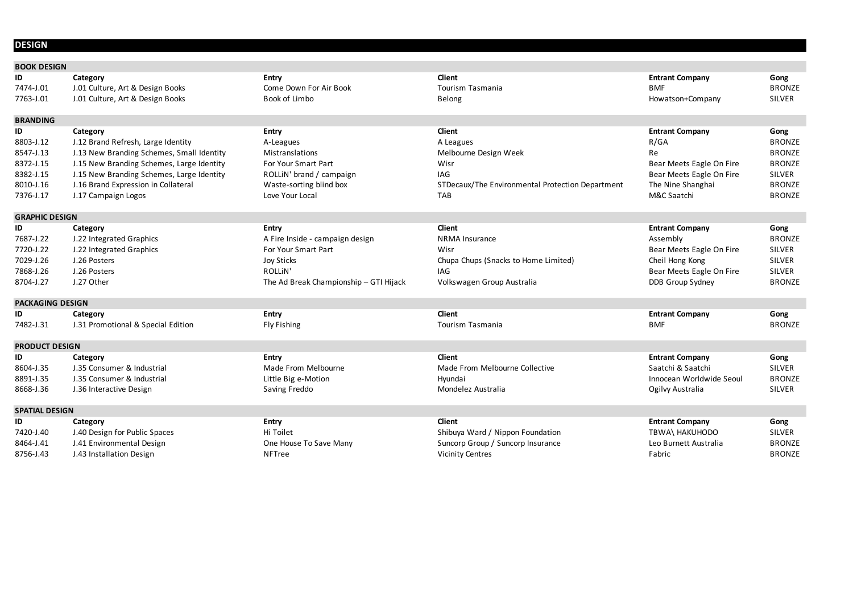# **DESIGN**

| <b>BOOK DESIGN</b>      |                                           |                                        |                                                  |                          |               |
|-------------------------|-------------------------------------------|----------------------------------------|--------------------------------------------------|--------------------------|---------------|
| ID                      | Category                                  | <b>Entry</b>                           | <b>Client</b>                                    | <b>Entrant Company</b>   | Gong          |
| 7474-J.01               | J.01 Culture, Art & Design Books          | Come Down For Air Book                 | Tourism Tasmania                                 | <b>BMF</b>               | <b>BRONZE</b> |
| 7763-J.01               | J.01 Culture, Art & Design Books          | Book of Limbo                          | <b>Belong</b>                                    | Howatson+Company         | <b>SILVER</b> |
| <b>BRANDING</b>         |                                           |                                        |                                                  |                          |               |
| ID                      | Category                                  | <b>Entry</b>                           | <b>Client</b>                                    | <b>Entrant Company</b>   | Gong          |
| 8803-J.12               | J.12 Brand Refresh, Large Identity        | A-Leagues                              | A Leagues                                        | R/GA                     | <b>BRONZE</b> |
| 8547-J.13               | J.13 New Branding Schemes, Small Identity | Mistranslations                        | Melbourne Design Week                            | Re                       | <b>BRONZE</b> |
| 8372-J.15               | J.15 New Branding Schemes, Large Identity | For Your Smart Part                    | Wisr                                             | Bear Meets Eagle On Fire | <b>BRONZE</b> |
| 8382-J.15               | J.15 New Branding Schemes, Large Identity | ROLLIN' brand / campaign               | IAG                                              | Bear Meets Eagle On Fire | <b>SILVER</b> |
| 8010-J.16               | J.16 Brand Expression in Collateral       | Waste-sorting blind box                | STDecaux/The Environmental Protection Department | The Nine Shanghai        | <b>BRONZE</b> |
| 7376-J.17               | J.17 Campaign Logos                       | Love Your Local                        | <b>TAB</b>                                       | M&C Saatchi              | <b>BRONZE</b> |
| <b>GRAPHIC DESIGN</b>   |                                           |                                        |                                                  |                          |               |
| ID                      | Category                                  | <b>Entry</b>                           | <b>Client</b>                                    | <b>Entrant Company</b>   | Gong          |
| 7687-J.22               | J.22 Integrated Graphics                  | A Fire Inside - campaign design        | NRMA Insurance                                   | Assembly                 | <b>BRONZE</b> |
| 7720-J.22               | J.22 Integrated Graphics                  | For Your Smart Part                    | Wisr                                             | Bear Meets Eagle On Fire | <b>SILVER</b> |
| 7029-J.26               | J.26 Posters                              | <b>Joy Sticks</b>                      | Chupa Chups (Snacks to Home Limited)             | Cheil Hong Kong          | <b>SILVER</b> |
| 7868-J.26               | J.26 Posters                              | <b>ROLLIN'</b>                         | IAG                                              | Bear Meets Eagle On Fire | <b>SILVER</b> |
| 8704-J.27               | J.27 Other                                | The Ad Break Championship - GTI Hijack | Volkswagen Group Australia                       | DDB Group Sydney         | <b>BRONZE</b> |
| <b>PACKAGING DESIGN</b> |                                           |                                        |                                                  |                          |               |
| ID                      | Category                                  | <b>Entry</b>                           | <b>Client</b>                                    | <b>Entrant Company</b>   | Gong          |
| 7482-J.31               | J.31 Promotional & Special Edition        | Fly Fishing                            | Tourism Tasmania                                 | BMF                      | <b>BRONZE</b> |
| <b>PRODUCT DESIGN</b>   |                                           |                                        |                                                  |                          |               |
| ID                      | Category                                  | <b>Entry</b>                           | <b>Client</b>                                    | <b>Entrant Company</b>   | Gong          |
| 8604-J.35               | J.35 Consumer & Industrial                | Made From Melbourne                    | Made From Melbourne Collective                   | Saatchi & Saatchi        | <b>SILVER</b> |
| 8891-J.35               | J.35 Consumer & Industrial                | Little Big e-Motion                    | Hyundai                                          | Innocean Worldwide Seoul | <b>BRONZE</b> |
| 8668-J.36               | J.36 Interactive Design                   | Saving Freddo                          | Mondelez Australia                               | Ogilvy Australia         | <b>SILVER</b> |
| <b>SPATIAL DESIGN</b>   |                                           |                                        |                                                  |                          |               |
| ID                      | Category                                  | <b>Entry</b>                           | <b>Client</b>                                    | <b>Entrant Company</b>   | Gong          |
| 7420-J.40               | J.40 Design for Public Spaces             | Hi Toilet                              | Shibuya Ward / Nippon Foundation                 | TBWA\ HAKUHODO           | SILVER        |
| 8464-J.41               | J.41 Environmental Design                 | One House To Save Many                 | Suncorp Group / Suncorp Insurance                | Leo Burnett Australia    | <b>BRONZE</b> |
| 8756-J.43               | J.43 Installation Design                  | <b>NFTree</b>                          | <b>Vicinity Centres</b>                          | Fabric                   | <b>BRONZE</b> |

| <b>Entrant Company</b> |
|------------------------|
| BMF                    |
| Howatson+Company       |

# Bear Meets Eagle On Fire BRONZE Bear Meets Eagle On Fire SILVER

# **722** Bear Meets Eagle On Fire SILVER **78685 Bear Meets Eagle On Fire SILVER**<br>1988 DDB Group Sydney SILVER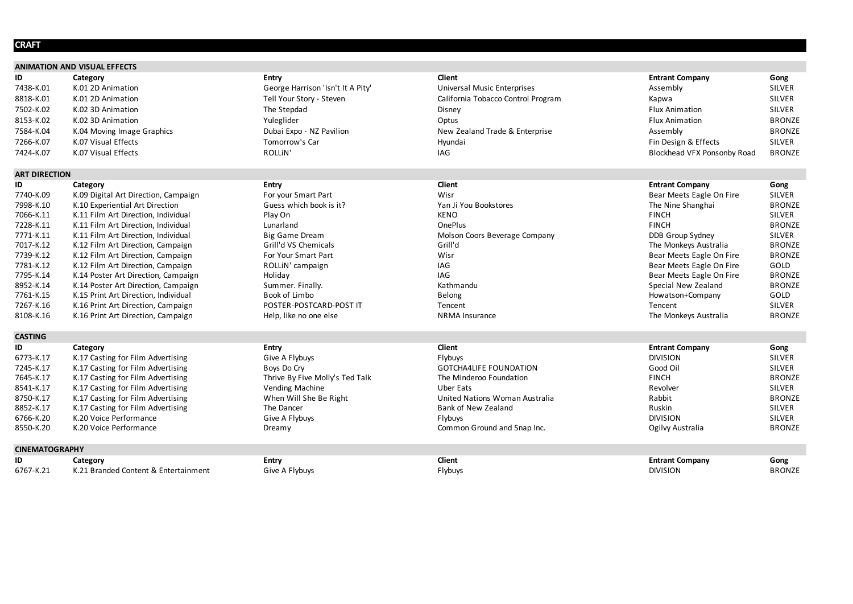# **CRAFT**

|                       | <b>ANIMATION AND VISUAL EFFECTS</b>  |                                   |                                    |                             |               |
|-----------------------|--------------------------------------|-----------------------------------|------------------------------------|-----------------------------|---------------|
| ID                    | Category                             | <b>Entry</b>                      | <b>Client</b>                      | <b>Entrant Company</b>      | Gong          |
| 7438-K.01             | K.01 2D Animation                    | George Harrison 'Isn't It A Pity' | <b>Universal Music Enterprises</b> | Assembly                    | <b>SILVER</b> |
| 8818-K.01             | K.01 2D Animation                    | Tell Your Story - Steven          | California Tobacco Control Program | Kapwa                       | <b>SILVER</b> |
| 7502-K.02             | K.02 3D Animation                    | The Stepdad                       | Disney                             | <b>Flux Animation</b>       | <b>SILVER</b> |
| 8153-K.02             | K.02 3D Animation                    | Yuleglider                        | Optus                              | <b>Flux Animation</b>       | <b>BRONZE</b> |
| 7584-K.04             | K.04 Moving Image Graphics           | Dubai Expo - NZ Pavilion          | New Zealand Trade & Enterprise     | Assembly                    | <b>BRONZE</b> |
| 7266-K.07             | K.07 Visual Effects                  | Tomorrow's Car                    | Hyundai                            | Fin Design & Effects        | <b>SILVER</b> |
| 7424-K.07             | K.07 Visual Effects                  | <b>ROLLIN'</b>                    | IAG                                | Blockhead VFX Ponsonby Road | <b>BRONZE</b> |
| <b>ART DIRECTION</b>  |                                      |                                   |                                    |                             |               |
| ID                    | Category                             | <b>Entry</b>                      | <b>Client</b>                      | <b>Entrant Company</b>      | Gong          |
| 7740-K.09             | K.09 Digital Art Direction, Campaign | For your Smart Part               | Wisr                               | Bear Meets Eagle On Fire    | <b>SILVER</b> |
| 7998-K.10             | K.10 Experiential Art Direction      | Guess which book is it?           | Yan Ji You Bookstores              | The Nine Shanghai           | <b>BRONZE</b> |
| 7066-K.11             | K.11 Film Art Direction, Individual  | Play On                           | <b>KENO</b>                        | <b>FINCH</b>                | <b>SILVER</b> |
| 7228-K.11             | K.11 Film Art Direction, Individual  | Lunarland                         | <b>OnePlus</b>                     | <b>FINCH</b>                | <b>BRONZE</b> |
| 7771-K.11             | K.11 Film Art Direction, Individual  | <b>Big Game Dream</b>             | Molson Coors Beverage Company      | DDB Group Sydney            | <b>SILVER</b> |
| 7017-K.12             | K.12 Film Art Direction, Campaign    | Grill'd VS Chemicals              | Grill'd                            | The Monkeys Australia       | <b>BRONZE</b> |
| 7739-K.12             | K.12 Film Art Direction, Campaign    | For Your Smart Part               | Wisr                               | Bear Meets Eagle On Fire    | <b>BRONZE</b> |
| 7781-K.12             | K.12 Film Art Direction, Campaign    | ROLLIN' campaign                  | IAG                                | Bear Meets Eagle On Fire    | GOLD          |
| 7795-K.14             | K.14 Poster Art Direction, Campaign  | Holiday                           | IAG                                | Bear Meets Eagle On Fire    | <b>BRONZE</b> |
| 8952-K.14             | K.14 Poster Art Direction, Campaign  | Summer. Finally.                  | Kathmandu                          | Special New Zealand         | <b>BRONZE</b> |
| 7761-K.15             | K.15 Print Art Direction, Individual | Book of Limbo                     | Belong                             | Howatson+Company            | GOLD          |
| 7267-K.16             | K.16 Print Art Direction, Campaign   | POSTER-POSTCARD-POST IT           | Tencent                            | Tencent                     | <b>SILVER</b> |
| 8108-K.16             | K.16 Print Art Direction, Campaign   | Help, like no one else            | <b>NRMA</b> Insurance              | The Monkeys Australia       | <b>BRONZE</b> |
| <b>CASTING</b>        |                                      |                                   |                                    |                             |               |
| ID                    | Category                             | <b>Entry</b>                      | <b>Client</b>                      | <b>Entrant Company</b>      | Gong          |
| 6773-K.17             | K.17 Casting for Film Advertising    | Give A Flybuys                    | Flybuys                            | <b>DIVISION</b>             | <b>SILVER</b> |
| 7245-K.17             | K.17 Casting for Film Advertising    | Boys Do Cry                       | <b>GOTCHA4LIFE FOUNDATION</b>      | Good Oil                    | <b>SILVER</b> |
| 7645-K.17             | K.17 Casting for Film Advertising    | Thrive By Five Molly's Ted Talk   | The Minderoo Foundation            | <b>FINCH</b>                | <b>BRONZE</b> |
| 8541-K.17             | K.17 Casting for Film Advertising    | <b>Vending Machine</b>            | <b>Uber Eats</b>                   | Revolver                    | <b>SILVER</b> |
| 8750-K.17             | K.17 Casting for Film Advertising    | When Will She Be Right            | United Nations Woman Australia     | Rabbit                      | <b>BRONZE</b> |
| 8852-K.17             | K.17 Casting for Film Advertising    | The Dancer                        | <b>Bank of New Zealand</b>         | Ruskin                      | <b>SILVER</b> |
| 6766-K.20             | K.20 Voice Performance               | Give A Flybuys                    | Flybuys                            | <b>DIVISION</b>             | <b>SILVER</b> |
| 8550-K.20             | K.20 Voice Performance               | Dreamy                            | Common Ground and Snap Inc.        | Ogilvy Australia            | <b>BRONZE</b> |
| <b>CINEMATOGRAPHY</b> |                                      |                                   |                                    |                             |               |
| ID                    | Category                             | <b>Entry</b>                      | Client                             | <b>Entrant Company</b>      | Gong          |
| 6767-K.21             | K.21 Branded Content & Entertainment | Give A Flybuys                    | Flybuys                            | <b>DIVISION</b>             | <b>BRONZE</b> |

| <b>Entrant Company</b>             | Gong          |
|------------------------------------|---------------|
| Assembly                           | <b>SILVER</b> |
| Kapwa                              | <b>SILVER</b> |
| <b>Flux Animation</b>              | <b>SILVER</b> |
| <b>Flux Animation</b>              | <b>BRONZE</b> |
| Assembly                           | <b>BRONZE</b> |
| Fin Design & Effects               | <b>SILVER</b> |
| <b>Blockhead VFX Ponsonby Road</b> | <b>BRONZE</b> |
|                                    |               |

| Bear Meets Eagle On Fire | <b>SILVER</b> |
|--------------------------|---------------|
| The Nine Shanghai        | <b>BRONZE</b> |
| <b>FINCH</b>             | <b>SILVER</b> |
| <b>FINCH</b>             | <b>BRONZE</b> |
| DDB Group Sydney         | <b>SILVER</b> |
| The Monkeys Australia    | <b>BRONZE</b> |
| Bear Meets Eagle On Fire | <b>BRONZE</b> |
| Bear Meets Eagle On Fire | GOLD          |
| Bear Meets Eagle On Fire | <b>BRONZE</b> |
| Special New Zealand      | <b>BRONZE</b> |
| Howatson+Company         | GOLD          |
| Tencent                  | <b>SILVER</b> |
| The Monkeys Australia    | <b>BRONZE</b> |

| Good Oil         |
|------------------|
| FINCH            |
| Revolver         |
| Rabbit           |
| Ruskin           |
| DIVISION         |
| Ogilvy Australia |
|                  |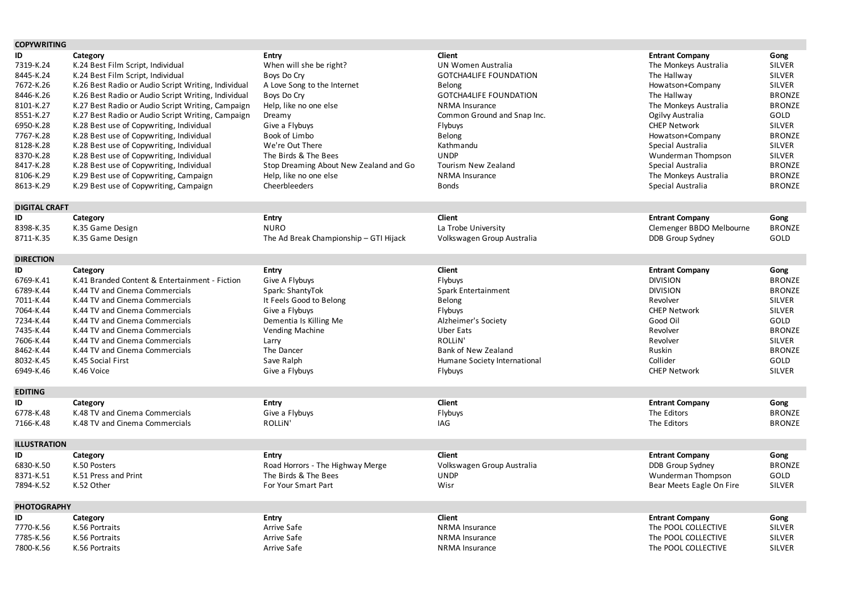| <b>COPYWRITING</b>                                                                                                                                                                     |                                                                                                                                                                                                                                                                                                                                                                                                                                                |                                                                                                                                                                                                                                                         |                                                                                                                                                                                                                                 |                                                                                                                                                                                                                                          |                                                                                                                                                                                                        |
|----------------------------------------------------------------------------------------------------------------------------------------------------------------------------------------|------------------------------------------------------------------------------------------------------------------------------------------------------------------------------------------------------------------------------------------------------------------------------------------------------------------------------------------------------------------------------------------------------------------------------------------------|---------------------------------------------------------------------------------------------------------------------------------------------------------------------------------------------------------------------------------------------------------|---------------------------------------------------------------------------------------------------------------------------------------------------------------------------------------------------------------------------------|------------------------------------------------------------------------------------------------------------------------------------------------------------------------------------------------------------------------------------------|--------------------------------------------------------------------------------------------------------------------------------------------------------------------------------------------------------|
| ID<br>7319-K.24<br>8445-K.24<br>7672-K.26<br>8446-K.26<br>8101-K.27<br>8551-K.27<br>6950-K.28<br>7767-K.28<br>8128-K.28                                                                | Category<br>K.24 Best Film Script, Individual<br>K.24 Best Film Script, Individual<br>K.26 Best Radio or Audio Script Writing, Individual<br>K.26 Best Radio or Audio Script Writing, Individual<br>K.27 Best Radio or Audio Script Writing, Campaign<br>K.27 Best Radio or Audio Script Writing, Campaign<br>K.28 Best use of Copywriting, Individual<br>K.28 Best use of Copywriting, Individual<br>K.28 Best use of Copywriting, Individual | <b>Entry</b><br>When will she be right?<br>Boys Do Cry<br>A Love Song to the Internet<br>Boys Do Cry<br>Help, like no one else<br>Dreamy<br>Give a Flybuys<br>Book of Limbo<br>We're Out There                                                          | <b>Client</b><br><b>UN Women Australia</b><br><b>GOTCHA4LIFE FOUNDATION</b><br>Belong<br><b>GOTCHA4LIFE FOUNDATION</b><br><b>NRMA Insurance</b><br>Common Ground and Snap Inc.<br>Flybuys<br>Belong<br>Kathmandu                | <b>Entrant Company</b><br>The Monkeys Australia<br>The Hallway<br>Howatson+Company<br>The Hallway<br>The Monkeys Australia<br>Ogilvy Australia<br><b>CHEP Network</b><br>Howatson+Company<br>Special Australia                           | Gong<br><b>SILVER</b><br><b>SILVER</b><br><b>SILVER</b><br><b>BRONZE</b><br><b>BRONZE</b><br>GOLD<br><b>SILVER</b><br><b>BRONZE</b><br><b>SILVER</b>                                                   |
| 8370-K.28<br>8417-K.28<br>8106-K.29<br>8613-K.29                                                                                                                                       | K.28 Best use of Copywriting, Individual<br>K.28 Best use of Copywriting, Individual<br>K.29 Best use of Copywriting, Campaign<br>K.29 Best use of Copywriting, Campaign                                                                                                                                                                                                                                                                       | The Birds & The Bees<br>Stop Dreaming About New Zealand and Go<br>Help, like no one else<br>Cheerbleeders                                                                                                                                               | <b>UNDP</b><br><b>Tourism New Zealand</b><br><b>NRMA</b> Insurance<br><b>Bonds</b>                                                                                                                                              | Wunderman Thompson<br>Special Australia<br>The Monkeys Australia<br>Special Australia                                                                                                                                                    | <b>SILVER</b><br><b>BRONZE</b><br><b>BRONZE</b><br><b>BRONZE</b>                                                                                                                                       |
| <b>DIGITAL CRAFT</b>                                                                                                                                                                   |                                                                                                                                                                                                                                                                                                                                                                                                                                                |                                                                                                                                                                                                                                                         |                                                                                                                                                                                                                                 |                                                                                                                                                                                                                                          |                                                                                                                                                                                                        |
| ID<br>8398-K.35<br>8711-K.35                                                                                                                                                           | Category<br>K.35 Game Design<br>K.35 Game Design                                                                                                                                                                                                                                                                                                                                                                                               | <b>Entry</b><br><b>NURO</b><br>The Ad Break Championship - GTI Hijack                                                                                                                                                                                   | Client<br>La Trobe University<br>Volkswagen Group Australia                                                                                                                                                                     | <b>Entrant Company</b><br>Clemenger BBDO Melbourne<br>DDB Group Sydney                                                                                                                                                                   | Gong<br><b>BRONZE</b><br>GOLD                                                                                                                                                                          |
| <b>DIRECTION</b>                                                                                                                                                                       |                                                                                                                                                                                                                                                                                                                                                                                                                                                |                                                                                                                                                                                                                                                         |                                                                                                                                                                                                                                 |                                                                                                                                                                                                                                          |                                                                                                                                                                                                        |
| ID<br>6769-K.41<br>6789-K.44<br>7011-K.44<br>7064-K.44<br>7234-K.44<br>7435-K.44<br>7606-K.44<br>8462-K.44<br>8032-K.45<br>6949-K.46<br><b>EDITING</b><br>ID<br>6778-K.48<br>7166-K.48 | Category<br>K.41 Branded Content & Entertainment - Fiction<br>K.44 TV and Cinema Commercials<br>K.44 TV and Cinema Commercials<br>K.44 TV and Cinema Commercials<br>K.44 TV and Cinema Commercials<br>K.44 TV and Cinema Commercials<br>K.44 TV and Cinema Commercials<br>K.44 TV and Cinema Commercials<br>K.45 Social First<br>K.46 Voice<br>Category<br>K.48 TV and Cinema Commercials<br>K.48 TV and Cinema Commercials                    | <b>Entry</b><br>Give A Flybuys<br>Spark: ShantyTok<br>It Feels Good to Belong<br>Give a Flybuys<br>Dementia Is Killing Me<br>Vending Machine<br>Larry<br>The Dancer<br>Save Ralph<br>Give a Flybuys<br><b>Entry</b><br>Give a Flybuys<br><b>ROLLIN'</b> | <b>Client</b><br>Flybuys<br>Spark Entertainment<br>Belong<br>Flybuys<br>Alzheimer's Society<br>Uber Eats<br><b>ROLLIN'</b><br><b>Bank of New Zealand</b><br>Humane Society International<br>Flybuys<br>Client<br>Flybuys<br>IAG | <b>Entrant Company</b><br><b>DIVISION</b><br><b>DIVISION</b><br>Revolver<br><b>CHEP Network</b><br>Good Oil<br>Revolver<br>Revolver<br>Ruskin<br>Collider<br><b>CHEP Network</b><br><b>Entrant Company</b><br>The Editors<br>The Editors | Gong<br><b>BRONZE</b><br><b>BRONZE</b><br><b>SILVER</b><br><b>SILVER</b><br>GOLD<br><b>BRONZE</b><br><b>SILVER</b><br><b>BRONZE</b><br>GOLD<br><b>SILVER</b><br>Gong<br><b>BRONZE</b><br><b>BRONZE</b> |
| <b>ILLUSTRATION</b>                                                                                                                                                                    |                                                                                                                                                                                                                                                                                                                                                                                                                                                |                                                                                                                                                                                                                                                         |                                                                                                                                                                                                                                 |                                                                                                                                                                                                                                          |                                                                                                                                                                                                        |
| ID<br>6830-K.50<br>8371-K.51<br>7894-K.52                                                                                                                                              | Category<br>K.50 Posters<br>K.51 Press and Print<br>K.52 Other                                                                                                                                                                                                                                                                                                                                                                                 | <b>Entry</b><br>Road Horrors - The Highway Merge<br>The Birds & The Bees<br>For Your Smart Part                                                                                                                                                         | <b>Client</b><br>Volkswagen Group Australia<br><b>UNDP</b><br>Wisr                                                                                                                                                              | <b>Entrant Company</b><br>DDB Group Sydney<br>Wunderman Thompson<br>Bear Meets Eagle On Fire                                                                                                                                             | Gong<br><b>BRONZE</b><br>GOLD<br><b>SILVER</b>                                                                                                                                                         |
| <b>PHOTOGRAPHY</b>                                                                                                                                                                     |                                                                                                                                                                                                                                                                                                                                                                                                                                                |                                                                                                                                                                                                                                                         |                                                                                                                                                                                                                                 |                                                                                                                                                                                                                                          |                                                                                                                                                                                                        |
| ID<br>7770-K.56<br>7785-K.56<br>7800-K.56                                                                                                                                              | Category<br>K.56 Portraits<br>K.56 Portraits<br>K.56 Portraits                                                                                                                                                                                                                                                                                                                                                                                 | <b>Entry</b><br>Arrive Safe<br>Arrive Safe<br>Arrive Safe                                                                                                                                                                                               | <b>Client</b><br>NRMA Insurance<br><b>NRMA Insurance</b><br>NRMA Insurance                                                                                                                                                      | <b>Entrant Company</b><br>The POOL COLLECTIVE<br>The POOL COLLECTIVE<br>The POOL COLLECTIVE                                                                                                                                              | Gong<br><b>SILVER</b><br><b>SILVER</b><br><b>SILVER</b>                                                                                                                                                |

| <b>Entrant Company</b>    | Gong          |
|---------------------------|---------------|
| The Monkeys Australia     | <b>SILVER</b> |
| The Hallway               | <b>SILVER</b> |
| Howatson+Company          | <b>SILVER</b> |
| The Hallway               | <b>BRONZE</b> |
| The Monkeys Australia     | <b>BRONZE</b> |
| Ogilvy Australia          | GOLD          |
| <b>CHEP Network</b>       | <b>SILVER</b> |
| Howatson+Company          | <b>BRONZE</b> |
| Special Australia         | <b>SILVER</b> |
| <b>Wunderman Thompson</b> | <b>SILVER</b> |
| Special Australia         | <b>BRONZE</b> |
| The Monkeys Australia     | <b>BRONZE</b> |
| Special Australia         | <b>BRONZE</b> |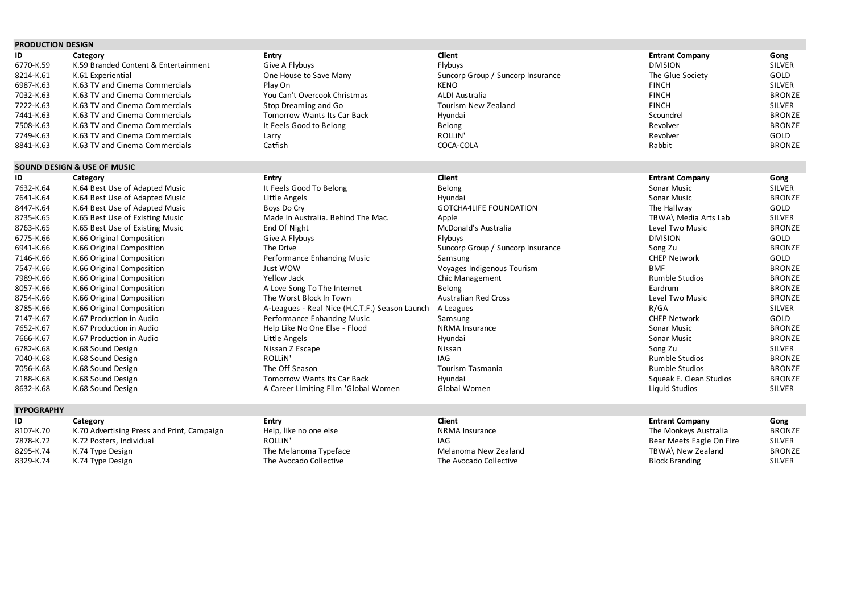# **PRODUCTION DESIGN**

| ID        | Category                             | <b>Entry</b>                 | Client                            | <b>Entrant Company</b> | Gong          |
|-----------|--------------------------------------|------------------------------|-----------------------------------|------------------------|---------------|
| 6770-K.59 | K.59 Branded Content & Entertainment | Give A Flybuys               | Flybuys                           | <b>DIVISION</b>        | <b>SILVER</b> |
| 8214-K.61 | K.61 Experiential                    | One House to Save Many       | Suncorp Group / Suncorp Insurance | The Glue Society       | GOLD          |
| 6987-K.63 | K.63 TV and Cinema Commercials       | Play On                      | <b>KENO</b>                       | <b>FINCH</b>           | <b>SILVER</b> |
| 7032-K.63 | K.63 TV and Cinema Commercials       | You Can't Overcook Christmas | ALDI Australia                    | <b>FINCH</b>           | <b>BRONZE</b> |
| 7222-K.63 | K.63 TV and Cinema Commercials       | Stop Dreaming and Go         | Tourism New Zealand               | <b>FINCH</b>           | <b>SILVER</b> |
| 7441-K.63 | K.63 TV and Cinema Commercials       | Tomorrow Wants Its Car Back  | Hyundai                           | Scoundrel              | <b>BRONZE</b> |
| 7508-K.63 | K.63 TV and Cinema Commercials       | It Feels Good to Belong      | Belong                            | Revolver               | <b>BRONZE</b> |
| 7749-K.63 | K.63 TV and Cinema Commercials       | Larry                        | ROLLIN'                           | Revolver               | GOLD          |
| 8841-K.63 | K.63 TV and Cinema Commercials       | Catfish                      | COCA-COLA                         | Rabbit                 | <b>BRONZE</b> |

# **SOUND DESIGN & USE OF MUSIC**

| ID        | Category                        | <b>Entry</b>                                   | Client                            | <b>Entrant Company</b>  | Gong          |
|-----------|---------------------------------|------------------------------------------------|-----------------------------------|-------------------------|---------------|
| 7632-K.64 | K.64 Best Use of Adapted Music  | It Feels Good To Belong                        | Belong                            | Sonar Music             | <b>SILVER</b> |
| 7641-K.64 | K.64 Best Use of Adapted Music  | Little Angels                                  | Hyundai                           | Sonar Music             | <b>BRONZE</b> |
| 8447-K.64 | K.64 Best Use of Adapted Music  | Boys Do Cry                                    | <b>GOTCHA4LIFE FOUNDATION</b>     | The Hallway             | GOLD          |
| 8735-K.65 | K.65 Best Use of Existing Music | Made In Australia. Behind The Mac.             | Apple                             | TBWA\ Media Arts Lab    | <b>SILVER</b> |
| 8763-K.65 | K.65 Best Use of Existing Music | End Of Night                                   | McDonald's Australia              | Level Two Music         | <b>BRONZE</b> |
| 6775-K.66 | K.66 Original Composition       | Give A Flybuys                                 | Flybuys                           | <b>DIVISION</b>         | GOLD          |
| 6941-K.66 | K.66 Original Composition       | The Drive                                      | Suncorp Group / Suncorp Insurance | Song Zu                 | <b>BRONZE</b> |
| 7146-K.66 | K.66 Original Composition       | Performance Enhancing Music                    | Samsung                           | <b>CHEP Network</b>     | GOLD          |
| 7547-K.66 | K.66 Original Composition       | Just WOW                                       | Voyages Indigenous Tourism        | BMF                     | <b>BRONZE</b> |
| 7989-K.66 | K.66 Original Composition       | Yellow Jack                                    | Chic Management                   | <b>Rumble Studios</b>   | <b>BRONZE</b> |
| 8057-K.66 | K.66 Original Composition       | A Love Song To The Internet                    | Belong                            | Eardrum                 | <b>BRONZE</b> |
| 8754-K.66 | K.66 Original Composition       | The Worst Block In Town                        | <b>Australian Red Cross</b>       | Level Two Music         | <b>BRONZE</b> |
| 8785-K.66 | K.66 Original Composition       | A-Leagues - Real Nice (H.C.T.F.) Season Launch | A Leagues                         | R/GA                    | <b>SILVER</b> |
| 7147-K.67 | K.67 Production in Audio        | Performance Enhancing Music                    | Samsung                           | <b>CHEP Network</b>     | GOLD          |
| 7652-K.67 | K.67 Production in Audio        | Help Like No One Else - Flood                  | <b>NRMA</b> Insurance             | Sonar Music             | <b>BRONZE</b> |
| 7666-K.67 | K.67 Production in Audio        | Little Angels                                  | Hyundai                           | Sonar Music             | <b>BRONZE</b> |
| 6782-K.68 | K.68 Sound Design               | Nissan Z Escape                                | Nissan                            | Song Zu                 | <b>SILVER</b> |
| 7040-K.68 | K.68 Sound Design               | ROLLIN'                                        | IAG                               | <b>Rumble Studios</b>   | <b>BRONZE</b> |
| 7056-K.68 | K.68 Sound Design               | The Off Season                                 | Tourism Tasmania                  | Rumble Studios          | <b>BRONZE</b> |
| 7188-K.68 | K.68 Sound Design               | <b>Tomorrow Wants Its Car Back</b>             | Hyundai                           | Squeak E. Clean Studios | <b>BRONZE</b> |
| 8632-K.68 | K.68 Sound Design               | A Career Limiting Film 'Global Women           | Global Women                      | Liquid Studios          | <b>SILVER</b> |

# **TYPOGRAPHY**

| ID        | Category                                   | Entry                  | Client                 | <b>Entrant Company</b>   | Gong          |
|-----------|--------------------------------------------|------------------------|------------------------|--------------------------|---------------|
| 8107-K.70 | K.70 Advertising Press and Print, Campaign | Help, like no one else | <b>NRMA Insurance</b>  | The Monkeys Australia    | <b>BRONZE</b> |
| 7878-K.72 | K.72 Posters, Individual                   | ROLLIN'                | IAG                    | Bear Meets Eagle On Fire | <b>SILVER</b> |
| 8295-K.74 | K.74 Type Design                           | The Melanoma Typeface  | Melanoma New Zealand   | TBWA\ New Zealand        | <b>BRONZE</b> |
| 8329-K.74 | K.74 Type Design                           | The Avocado Collective | The Avocado Collective | <b>Block Branding</b>    | <b>SILVER</b> |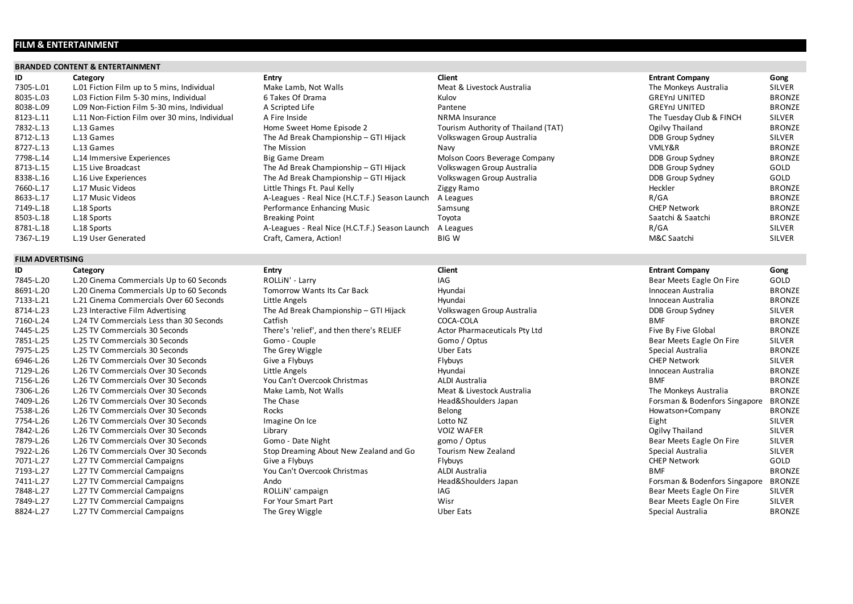# **FILM & ENTERTAINMENT**

# **BRANDED CONTENT & ENTERTAINMENT**

# **ID Category Entry Client Entrant Company Gong**

| 7305-L.01 | L.01 Fiction Film up to 5 mins, Individual     | Make Lamb, Not Walls                           | Meat & Livestock Australia          | The Monkeys Australia    | SILVER        |
|-----------|------------------------------------------------|------------------------------------------------|-------------------------------------|--------------------------|---------------|
| 8035-L.03 | L.03 Fiction Film 5-30 mins, Individual        | 6 Takes Of Drama                               | Kulov                               | <b>GREYNJ UNITED</b>     | <b>BRONZE</b> |
| 8038-L.09 | L.09 Non-Fiction Film 5-30 mins, Individual    | A Scripted Life                                | Pantene                             | <b>GREYNJ UNITED</b>     | <b>BRONZE</b> |
| 8123-L.11 | L.11 Non-Fiction Film over 30 mins, Individual | A Fire Inside                                  | NRMA Insurance                      | The Tuesday Club & FINCH | <b>SILVER</b> |
| 7832-L.13 | L.13 Games                                     | Home Sweet Home Episode 2                      | Tourism Authority of Thailand (TAT) | Ogilvy Thailand          | <b>BRONZE</b> |
| 8712-L.13 | L.13 Games                                     | The Ad Break Championship - GTI Hijack         | Volkswagen Group Australia          | DDB Group Sydney         | SILVER        |
| 8727-L.13 | L.13 Games                                     | The Mission                                    | Navy                                | VMLY&R                   | <b>BRONZE</b> |
| 7798-L.14 | L.14 Immersive Experiences                     | <b>Big Game Dream</b>                          | Molson Coors Beverage Company       | DDB Group Sydney         | <b>BRONZE</b> |
| 8713-L.15 | L.15 Live Broadcast                            | The Ad Break Championship – GTI Hijack         | Volkswagen Group Australia          | DDB Group Sydney         | GOLD          |
| 8338-L.16 | L.16 Live Experiences                          | The Ad Break Championship - GTI Hijack         | Volkswagen Group Australia          | DDB Group Sydney         | GOLD          |
| 7660-L.17 | L.17 Music Videos                              | Little Things Ft. Paul Kelly                   | Ziggy Ramo                          | Heckler                  | <b>BRONZE</b> |
| 8633-L.17 | L.17 Music Videos                              | A-Leagues - Real Nice (H.C.T.F.) Season Launch | A Leagues                           | R/GA                     | <b>BRONZE</b> |
| 7149-L.18 | L.18 Sports                                    | Performance Enhancing Music                    | Samsung                             | <b>CHEP Network</b>      | <b>BRONZE</b> |
| 8503-L.18 | L.18 Sports                                    | <b>Breaking Point</b>                          | Toyota                              | Saatchi & Saatchi        | <b>BRONZE</b> |
| 8781-L.18 | L.18 Sports                                    | A-Leagues - Real Nice (H.C.T.F.) Season Launch | A Leagues                           | R/GA                     | <b>SILVER</b> |
| 7367-L.19 | L.19 User Generated                            | Craft, Camera, Action!                         | <b>BIG W</b>                        | M&C Saatchi              | <b>SILVER</b> |
|           |                                                |                                                |                                     |                          |               |

| 7305-L.01 | L.01 Fiction Film up to 5 mins, Individual     | Make Lamb, Not Walls                           | Meat & Livestock Australia          | The Monkeys Australia    | <b>SILVER</b> |
|-----------|------------------------------------------------|------------------------------------------------|-------------------------------------|--------------------------|---------------|
| 8035-L.03 | L.03 Fiction Film 5-30 mins, Individual        | 6 Takes Of Drama                               | Kulov                               | <b>GREYNJ UNITED</b>     | <b>BRONZE</b> |
| 8038-L.09 | L.09 Non-Fiction Film 5-30 mins, Individual    | A Scripted Life                                | Pantene                             | <b>GREYNJ UNITED</b>     | <b>BRONZE</b> |
| 8123-L.11 | L.11 Non-Fiction Film over 30 mins, Individual | A Fire Inside                                  | <b>NRMA</b> Insurance               | The Tuesday Club & FINCH | SILVER        |
| 7832-L.13 | L.13 Games                                     | Home Sweet Home Episode 2                      | Tourism Authority of Thailand (TAT) | Ogilvy Thailand          | <b>BRONZE</b> |
| 8712-L.13 | L.13 Games                                     | The Ad Break Championship - GTI Hijack         | Volkswagen Group Australia          | DDB Group Sydney         | SILVER        |
| 8727-L.13 | L.13 Games                                     | The Mission                                    | Navy                                | VMLY&R                   | <b>BRONZE</b> |
| 7798-L.14 | L.14 Immersive Experiences                     | <b>Big Game Dream</b>                          | Molson Coors Beverage Company       | DDB Group Sydney         | <b>BRONZE</b> |
| 8713-L.15 | L.15 Live Broadcast                            | The Ad Break Championship - GTI Hijack         | Volkswagen Group Australia          | DDB Group Sydney         | GOLD          |
| 8338-L.16 | L.16 Live Experiences                          | The Ad Break Championship - GTI Hijack         | Volkswagen Group Australia          | DDB Group Sydney         | GOLD          |
| 7660-L.17 | L.17 Music Videos                              | Little Things Ft. Paul Kelly                   | Ziggy Ramo                          | Heckler                  | <b>BRONZE</b> |
| 8633-L.17 | L.17 Music Videos                              | A-Leagues - Real Nice (H.C.T.F.) Season Launch | A Leagues                           | R/GA                     | <b>BRONZE</b> |
| 7149-L.18 | L.18 Sports                                    | Performance Enhancing Music                    | Samsung                             | <b>CHEP Network</b>      | <b>BRONZE</b> |
| 8503-L.18 | L.18 Sports                                    | <b>Breaking Point</b>                          | Toyota                              | Saatchi & Saatchi        | <b>BRONZE</b> |
| 8781-L.18 | L.18 Sports                                    | A-Leagues - Real Nice (H.C.T.F.) Season Launch | A Leagues                           | R/GA                     | SILVER        |
| 7367-1 19 | 19 Hser Generated                              | Craft Camera Actionl                           | RIG W                               | M&C Saatchi              | <b>SILVER</b> |

# **FILM ADVERTISING**

| ID        | Category                                 | Entry                                     | Client                        | <b>Entrant Company</b>        | Gong          |
|-----------|------------------------------------------|-------------------------------------------|-------------------------------|-------------------------------|---------------|
| 7845-L.20 | L.20 Cinema Commercials Up to 60 Seconds | ROLLIN' - Larry                           | <b>IAG</b>                    | Bear Meets Eagle On Fire      | GOLD          |
| 8691-L.20 | L.20 Cinema Commercials Up to 60 Seconds | <b>Tomorrow Wants Its Car Back</b>        | Hyundai                       | Innocean Australia            | <b>BRONZE</b> |
| 7133-L.21 | L.21 Cinema Commercials Over 60 Seconds  | Little Angels                             | Hyundai                       | Innocean Australia            | <b>BRONZE</b> |
| 8714-L.23 | L.23 Interactive Film Advertising        | The Ad Break Championship - GTI Hijack    | Volkswagen Group Australia    | DDB Group Sydney              | SILVER        |
| 7160-L.24 | L.24 TV Commercials Less than 30 Seconds | Catfish                                   | COCA-COLA                     | BMF                           | <b>BRONZE</b> |
| 7445-L.25 | L.25 TV Commercials 30 Seconds           | There's 'relief', and then there's RELIEF | Actor Pharmaceuticals Pty Ltd | Five By Five Global           | <b>BRONZE</b> |
| 7851-L.25 | L.25 TV Commercials 30 Seconds           | Gomo - Couple                             | Gomo / Optus                  | Bear Meets Eagle On Fire      | SILVER        |
| 7975-L.25 | L.25 TV Commercials 30 Seconds           | The Grey Wiggle                           | Uber Eats                     | Special Australia             | <b>BRONZE</b> |
| 6946-L.26 | L.26 TV Commercials Over 30 Seconds      | Give a Flybuys                            | Flybuys                       | <b>CHEP Network</b>           | <b>SILVER</b> |
| 7129-L.26 | L.26 TV Commercials Over 30 Seconds      | Little Angels                             | Hyundai                       | Innocean Australia            | <b>BRONZE</b> |
| 7156-L.26 | L.26 TV Commercials Over 30 Seconds      | You Can't Overcook Christmas              | <b>ALDI Australia</b>         | BMF                           | <b>BRONZE</b> |
| 7306-L.26 | L.26 TV Commercials Over 30 Seconds      | Make Lamb, Not Walls                      | Meat & Livestock Australia    | The Monkeys Australia         | <b>BRONZE</b> |
| 7409-L.26 | L.26 TV Commercials Over 30 Seconds      | The Chase                                 | Head&Shoulders Japan          | Forsman & Bodenfors Singapore | <b>BRONZE</b> |
| 7538-L.26 | L.26 TV Commercials Over 30 Seconds      | Rocks                                     | Belong                        | Howatson+Company              | <b>BRONZE</b> |
| 7754-L.26 | L.26 TV Commercials Over 30 Seconds      | Imagine On Ice                            | Lotto NZ                      | Eight                         | SILVER        |
| 7842-L.26 | L.26 TV Commercials Over 30 Seconds      | Library                                   | <b>VOIZ WAFER</b>             | Ogilvy Thailand               | <b>SILVER</b> |
| 7879-L.26 | L.26 TV Commercials Over 30 Seconds      | Gomo - Date Night                         | gomo / Optus                  | Bear Meets Eagle On Fire      | <b>SILVER</b> |
| 7922-L.26 | L.26 TV Commercials Over 30 Seconds      | Stop Dreaming About New Zealand and Go    | Tourism New Zealand           | Special Australia             | <b>SILVER</b> |
| 7071-L.27 | L.27 TV Commercial Campaigns             | Give a Flybuys                            | Flybuys                       | <b>CHEP Network</b>           | GOLD          |
| 7193-L.27 | L.27 TV Commercial Campaigns             | You Can't Overcook Christmas              | ALDI Australia                | BMF                           | <b>BRONZE</b> |
| 7411-L.27 | L.27 TV Commercial Campaigns             | Ando                                      | Head&Shoulders Japan          | Forsman & Bodenfors Singapore | <b>BRONZE</b> |
| 7848-L.27 | L.27 TV Commercial Campaigns             | ROLLIN' campaign                          | IAG                           | Bear Meets Eagle On Fire      | SILVER        |
| 7849-L.27 | L.27 TV Commercial Campaigns             | For Your Smart Part                       | Wisr                          | Bear Meets Eagle On Fire      | <b>SILVER</b> |
| 8824-L.27 | L.27 TV Commercial Campaigns             | The Grey Wiggle                           | Uber Eats                     | Special Australia             | <b>BRONZE</b> |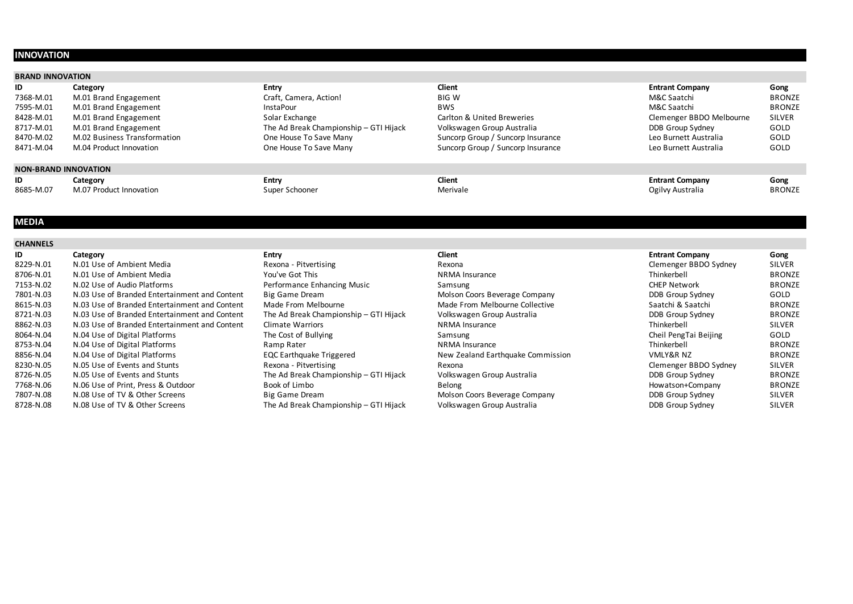# **INNOVATION**

# **BRAND INNOVATION**

| ID        | Category                     | <b>Entry</b>                           | Client                            | <b>Entrant Company</b>   | Gong          |
|-----------|------------------------------|----------------------------------------|-----------------------------------|--------------------------|---------------|
| 7368-M.01 | M.01 Brand Engagement        | Craft, Camera, Action!                 | <b>BIG W</b>                      | M&C Saatchi              | <b>BRONZE</b> |
| 7595-M.01 | M.01 Brand Engagement        | <b>InstaPour</b>                       | <b>BWS</b>                        | M&C Saatchi              | <b>BRONZE</b> |
| 8428-M.01 | M.01 Brand Engagement        | Solar Exchange                         | Carlton & United Breweries        | Clemenger BBDO Melbourne | <b>SILVER</b> |
| 8717-M.01 | M.01 Brand Engagement        | The Ad Break Championship - GTI Hijack | Volkswagen Group Australia        | DDB Group Sydney         | GOLD          |
| 8470-M.02 | M.02 Business Transformation | One House To Save Many                 | Suncorp Group / Suncorp Insurance | Leo Burnett Australia    | GOLD          |
| 8471-M.04 | M.04 Product Innovation      | One House To Save Many                 | Suncorp Group / Suncorp Insurance | Leo Burnett Australia    | <b>GOLD</b>   |
|           | NONI DDANID INNIOVATIONI     |                                        |                                   |                          |               |

# **NON-BRAND INNOVATION**

| ID        | Lategory                          | Entry          | Client   | <b>Entrant Company</b> | Gong          |
|-----------|-----------------------------------|----------------|----------|------------------------|---------------|
| 8685-M.07 | M.07 Product<br><b>Innovation</b> | Super Schooner | Merivale | Ogilvy Australia<br>ำ  | <b>BRONZE</b> |

# **MEDIA**

| <b>CHANNELS</b> |                                               |                                        |                                   |                        |               |
|-----------------|-----------------------------------------------|----------------------------------------|-----------------------------------|------------------------|---------------|
| ID              | Category                                      | Entry                                  | Client                            | <b>Entrant Company</b> | Gong          |
| 8229-N.01       | N.01 Use of Ambient Media                     | Rexona - Pitvertising                  | Rexona                            | Clemenger BBDO Sydney  | <b>SILVER</b> |
| 8706-N.01       | N.01 Use of Ambient Media                     | You've Got This                        | <b>NRMA</b> Insurance             | Thinkerbell            | <b>BRONZE</b> |
| 7153-N.02       | N.02 Use of Audio Platforms                   | Performance Enhancing Music            | Samsung                           | <b>CHEP Network</b>    | <b>BRONZE</b> |
| 7801-N.03       | N.03 Use of Branded Entertainment and Content | Big Game Dream                         | Molson Coors Beverage Company     | DDB Group Sydney       | GOLD          |
| 8615-N.03       | N.03 Use of Branded Entertainment and Content | Made From Melbourne                    | Made From Melbourne Collective    | Saatchi & Saatchi      | <b>BRONZE</b> |
| 8721-N.03       | N.03 Use of Branded Entertainment and Content | The Ad Break Championship - GTI Hijack | Volkswagen Group Australia        | DDB Group Sydney       | <b>BRONZE</b> |
| 8862-N.03       | N.03 Use of Branded Entertainment and Content | Climate Warriors                       | NRMA Insurance                    | Thinkerbell            | <b>SILVER</b> |
| 8064-N.04       | N.04 Use of Digital Platforms                 | The Cost of Bullying                   | Samsung                           | Cheil PengTai Beijing  | GOLD          |
| 8753-N.04       | N.04 Use of Digital Platforms                 | Ramp Rater                             | NRMA Insurance                    | Thinkerbell            | <b>BRONZE</b> |
| 8856-N.04       | N.04 Use of Digital Platforms                 | <b>EQC Earthquake Triggered</b>        | New Zealand Earthquake Commission | VMLY&R NZ              | <b>BRONZE</b> |
| 8230-N.05       | N.05 Use of Events and Stunts                 | Rexona - Pitvertising                  | Rexona                            | Clemenger BBDO Sydney  | <b>SILVER</b> |
| 8726-N.05       | N.05 Use of Events and Stunts                 | The Ad Break Championship - GTI Hijack | Volkswagen Group Australia        | DDB Group Sydney       | <b>BRONZE</b> |
| 7768-N.06       | N.06 Use of Print, Press & Outdoor            | Book of Limbo                          | Belong                            | Howatson+Company       | <b>BRONZE</b> |
| 7807-N.08       | N.08 Use of TV & Other Screens                | Big Game Dream                         | Molson Coors Beverage Company     | DDB Group Sydney       | <b>SILVER</b> |
| 8728-N.08       | N.08 Use of TV & Other Screens                | The Ad Break Championship - GTI Hijack | Volkswagen Group Australia        | DDB Group Sydney       | <b>SILVER</b> |
|                 |                                               |                                        |                                   |                        |               |

| <b>Entrant Company</b>   | Gong          |
|--------------------------|---------------|
| M&C Saatchi              | <b>BRONZE</b> |
| M&C Saatchi              | <b>BRONZI</b> |
| Clemenger BBDO Melbourne | <b>SILVER</b> |
| <b>DDB Group Sydney</b>  | GOLD          |
| Leo Burnett Australia    | GOLD          |
| Leo Burnett Australia    | GOLD          |

| Clemenger BBDO Sydney   |
|-------------------------|
| Thinkerbell             |
| CHEP Network            |
| DDB Group Sydney        |
| Saatchi & Saatchi       |
| DDB Group Sydney        |
| Thinkerbell             |
| Cheil PengTai Beijing   |
| Thinkerbell             |
| <b>VMLY&amp;R NZ</b>    |
| Clemenger BBDO Sydney   |
| DDB Group Sydney        |
| Howatson+Company        |
| DDB Group Sydney        |
| <b>DDB Group Sydney</b> |